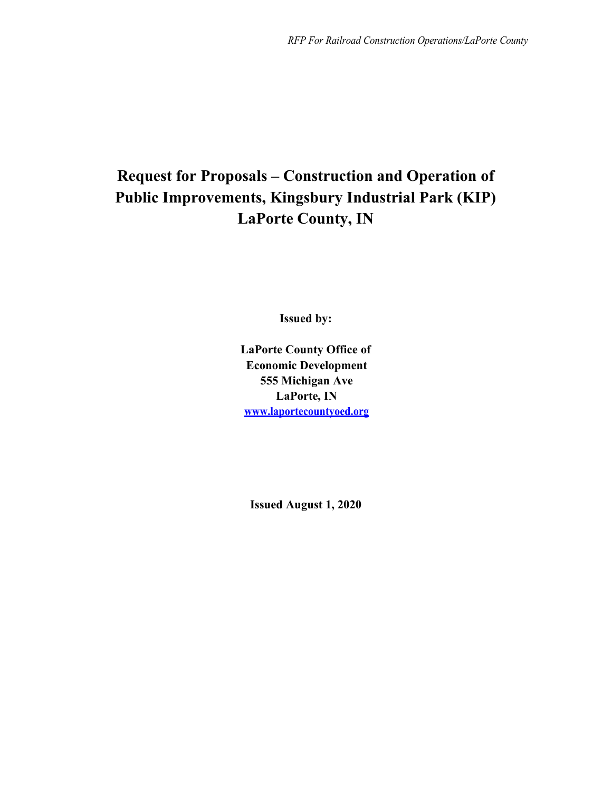# **Request for Proposals – Construction and Operation of Public Improvements, Kingsbury Industrial Park (KIP) LaPorte County, IN**

**Issued by:**

**LaPorte County Office of Economic Development 555 Michigan Ave LaPorte, IN www.laportecountyoed.org**

**Issued August 1, 2020**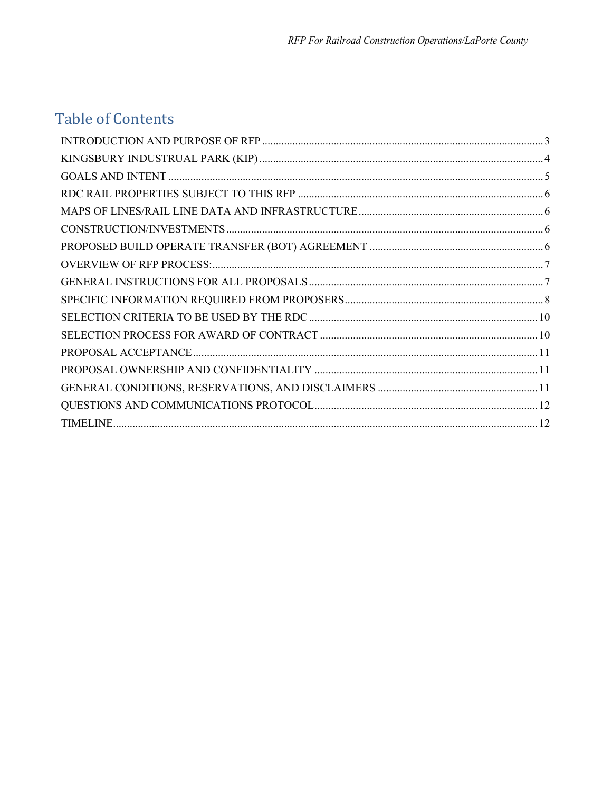# **Table of Contents**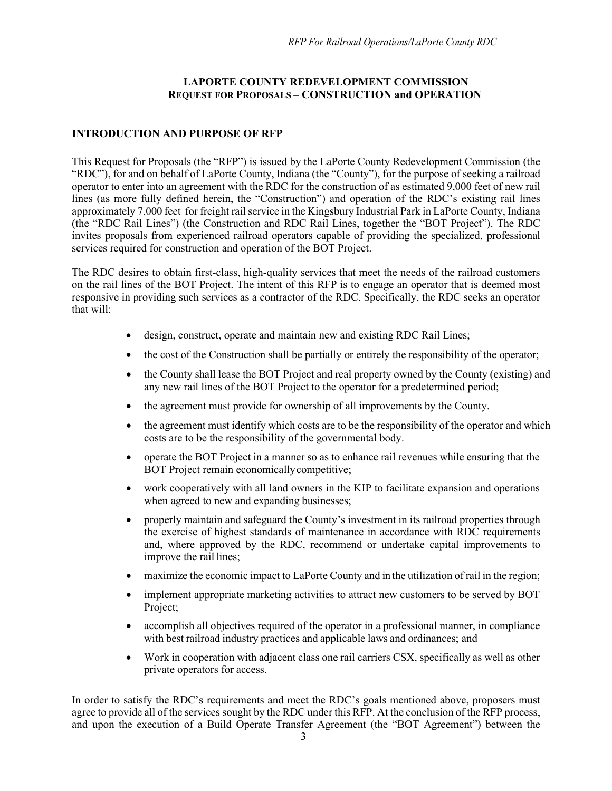## **LAPORTE COUNTY REDEVELOPMENT COMMISSION REQUEST FOR PROPOSALS – CONSTRUCTION and OPERATION**

## <span id="page-2-0"></span>**INTRODUCTION AND PURPOSE OF RFP**

This Request for Proposals (the "RFP") is issued by the LaPorte County Redevelopment Commission (the "RDC"), for and on behalf of LaPorte County, Indiana (the "County"), for the purpose of seeking a railroad operator to enter into an agreement with the RDC for the construction of as estimated 9,000 feet of new rail lines (as more fully defined herein, the "Construction") and operation of the RDC's existing rail lines approximately 7,000 feet for freight rail service in the Kingsbury Industrial Park in LaPorte County, Indiana (the "RDC Rail Lines") (the Construction and RDC Rail Lines, together the "BOT Project"). The RDC invites proposals from experienced railroad operators capable of providing the specialized, professional services required for construction and operation of the BOT Project.

The RDC desires to obtain first-class, high-quality services that meet the needs of the railroad customers on the rail lines of the BOT Project. The intent of this RFP is to engage an operator that is deemed most responsive in providing such services as a contractor of the RDC. Specifically, the RDC seeks an operator that will:

- design, construct, operate and maintain new and existing RDC Rail Lines;
- the cost of the Construction shall be partially or entirely the responsibility of the operator;
- the County shall lease the BOT Project and real property owned by the County (existing) and any new rail lines of the BOT Project to the operator for a predetermined period;
- the agreement must provide for ownership of all improvements by the County.
- the agreement must identify which costs are to be the responsibility of the operator and which costs are to be the responsibility of the governmental body.
- operate the BOT Project in a manner so as to enhance rail revenues while ensuring that the BOT Project remain economicallycompetitive;
- work cooperatively with all land owners in the KIP to facilitate expansion and operations when agreed to new and expanding businesses;
- properly maintain and safeguard the County's investment in its railroad properties through the exercise of highest standards of maintenance in accordance with RDC requirements and, where approved by the RDC, recommend or undertake capital improvements to improve the rail lines;
- maximize the economic impact to LaPorte County and in the utilization of rail in the region;
- implement appropriate marketing activities to attract new customers to be served by BOT Project;
- accomplish all objectives required of the operator in a professional manner, in compliance with best railroad industry practices and applicable laws and ordinances; and
- Work in cooperation with adjacent class one rail carriers CSX, specifically as well as other private operators for access.

In order to satisfy the RDC's requirements and meet the RDC's goals mentioned above, proposers must agree to provide all of the services sought by the RDC under this RFP. At the conclusion of the RFP process, and upon the execution of a Build Operate Transfer Agreement (the "BOT Agreement") between the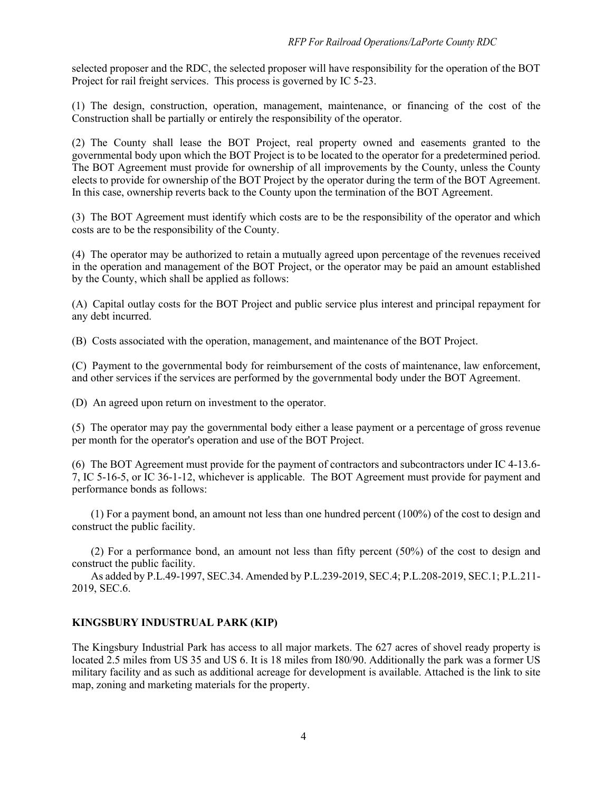selected proposer and the RDC, the selected proposer will have responsibility for the operation of the BOT Project for rail freight services. This process is governed by IC 5-23.

(1) The design, construction, operation, management, maintenance, or financing of the cost of the Construction shall be partially or entirely the responsibility of the operator.

(2) The County shall lease the BOT Project, real property owned and easements granted to the governmental body upon which the BOT Project is to be located to the operator for a predetermined period. The BOT Agreement must provide for ownership of all improvements by the County, unless the County elects to provide for ownership of the BOT Project by the operator during the term of the BOT Agreement. In this case, ownership reverts back to the County upon the termination of the BOT Agreement.

(3) The BOT Agreement must identify which costs are to be the responsibility of the operator and which costs are to be the responsibility of the County.

(4) The operator may be authorized to retain a mutually agreed upon percentage of the revenues received in the operation and management of the BOT Project, or the operator may be paid an amount established by the County, which shall be applied as follows:

(A) Capital outlay costs for the BOT Project and public service plus interest and principal repayment for any debt incurred.

(B) Costs associated with the operation, management, and maintenance of the BOT Project.

(C) Payment to the governmental body for reimbursement of the costs of maintenance, law enforcement, and other services if the services are performed by the governmental body under the BOT Agreement.

(D) An agreed upon return on investment to the operator.

(5) The operator may pay the governmental body either a lease payment or a percentage of gross revenue per month for the operator's operation and use of the BOT Project.

(6) The BOT Agreement must provide for the payment of contractors and subcontractors under IC 4-13.6- 7, IC 5-16-5, or IC 36-1-12, whichever is applicable. The BOT Agreement must provide for payment and performance bonds as follows:

(1) For a payment bond, an amount not less than one hundred percent (100%) of the cost to design and construct the public facility.

(2) For a performance bond, an amount not less than fifty percent (50%) of the cost to design and construct the public facility.

As added by P.L.49-1997, SEC.34. Amended by P.L.239-2019, SEC.4; P.L.208-2019, SEC.1; P.L.211- 2019, SEC.6.

#### <span id="page-3-0"></span>**KINGSBURY INDUSTRUAL PARK (KIP)**

The Kingsbury Industrial Park has access to all major markets. The 627 acres of shovel ready property is located 2.5 miles from US 35 and US 6. It is 18 miles from I80/90. Additionally the park was a former US military facility and as such as additional acreage for development is available. Attached is the link to site map, zoning and marketing materials for the property.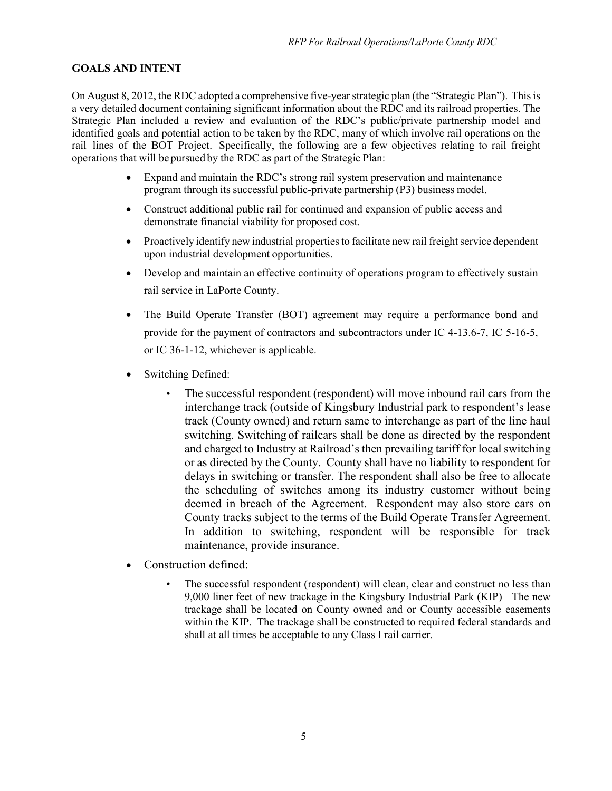## <span id="page-4-0"></span>**GOALS AND INTENT**

On August 8, 2012, the RDC adopted a comprehensive five-yearstrategic plan (the "Strategic Plan"). Thisis a very detailed document containing significant information about the RDC and its railroad properties. The Strategic Plan included a review and evaluation of the RDC's public/private partnership model and identified goals and potential action to be taken by the RDC, many of which involve rail operations on the rail lines of the BOT Project. Specifically, the following are a few objectives relating to rail freight operations that will be pursued by the RDC as part of the Strategic Plan:

- Expand and maintain the RDC's strong rail system preservation and maintenance program through its successful public-private partnership (P3) business model.
- Construct additional public rail for continued and expansion of public access and demonstrate financial viability for proposed cost.
- Proactively identify new industrial properties to facilitate new rail freight service dependent upon industrial development opportunities.
- Develop and maintain an effective continuity of operations program to effectively sustain rail service in LaPorte County.
- The Build Operate Transfer (BOT) agreement may require a performance bond and provide for the payment of contractors and subcontractors under IC 4-13.6-7, IC 5-16-5, or IC 36-1-12, whichever is applicable.
- Switching Defined:
	- The successful respondent (respondent) will move inbound rail cars from the interchange track (outside of Kingsbury Industrial park to respondent's lease track (County owned) and return same to interchange as part of the line haul switching. Switching of railcars shall be done as directed by the respondent and charged to Industry at Railroad's then prevailing tariff for local switching or as directed by the County. County shall have no liability to respondent for delays in switching or transfer. The respondent shall also be free to allocate the scheduling of switches among its industry customer without being deemed in breach of the Agreement. Respondent may also store cars on County tracks subject to the terms of the Build Operate Transfer Agreement. In addition to switching, respondent will be responsible for track maintenance, provide insurance.
- Construction defined:
	- The successful respondent (respondent) will clean, clear and construct no less than 9,000 liner feet of new trackage in the Kingsbury Industrial Park (KIP) The new trackage shall be located on County owned and or County accessible easements within the KIP. The trackage shall be constructed to required federal standards and shall at all times be acceptable to any Class I rail carrier.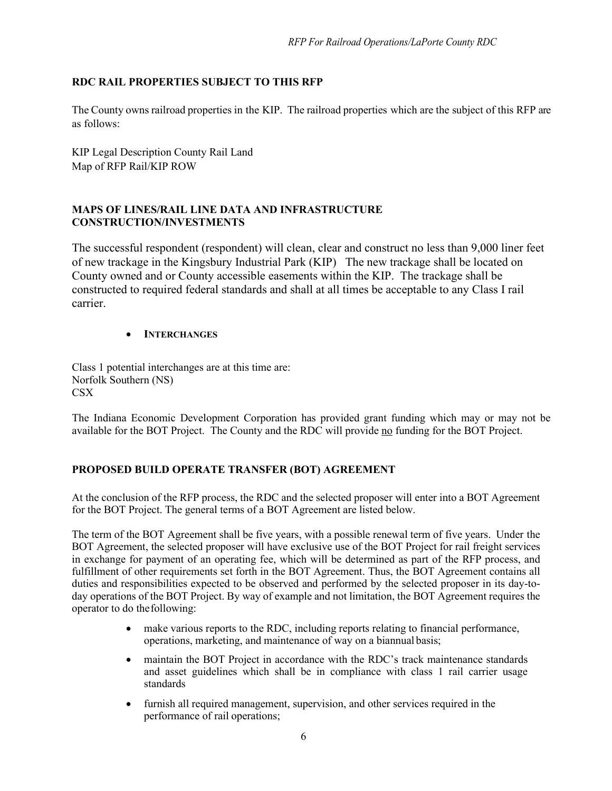# <span id="page-5-0"></span>**RDC RAIL PROPERTIES SUBJECT TO THIS RFP**

The County owns railroad properties in the KIP. The railroad properties which are the subject of this RFP are as follows:

KIP Legal Description County Rail Land Map of RFP Rail/KIP ROW

#### <span id="page-5-2"></span><span id="page-5-1"></span>**MAPS OF LINES/RAIL LINE DATA AND INFRASTRUCTURE CONSTRUCTION/INVESTMENTS**

The successful respondent (respondent) will clean, clear and construct no less than 9,000 liner feet of new trackage in the Kingsbury Industrial Park (KIP) The new trackage shall be located on County owned and or County accessible easements within the KIP. The trackage shall be constructed to required federal standards and shall at all times be acceptable to any Class I rail carrier.

#### • **INTERCHANGES**

Class 1 potential interchanges are at this time are: Norfolk Southern (NS) CSX

The Indiana Economic Development Corporation has provided grant funding which may or may not be available for the BOT Project. The County and the RDC will provide no funding for the BOT Project.

## <span id="page-5-3"></span>**PROPOSED BUILD OPERATE TRANSFER (BOT) AGREEMENT**

At the conclusion of the RFP process, the RDC and the selected proposer will enter into a BOT Agreement for the BOT Project. The general terms of a BOT Agreement are listed below.

The term of the BOT Agreement shall be five years, with a possible renewal term of five years. Under the BOT Agreement, the selected proposer will have exclusive use of the BOT Project for rail freight services in exchange for payment of an operating fee, which will be determined as part of the RFP process, and fulfillment of other requirements set forth in the BOT Agreement. Thus, the BOT Agreement contains all duties and responsibilities expected to be observed and performed by the selected proposer in its day-today operations of the BOT Project. By way of example and not limitation, the BOT Agreement requires the operator to do thefollowing:

- make various reports to the RDC, including reports relating to financial performance, operations, marketing, and maintenance of way on a biannual basis;
- maintain the BOT Project in accordance with the RDC's track maintenance standards and asset guidelines which shall be in compliance with class 1 rail carrier usage standards
- furnish all required management, supervision, and other services required in the performance of rail operations;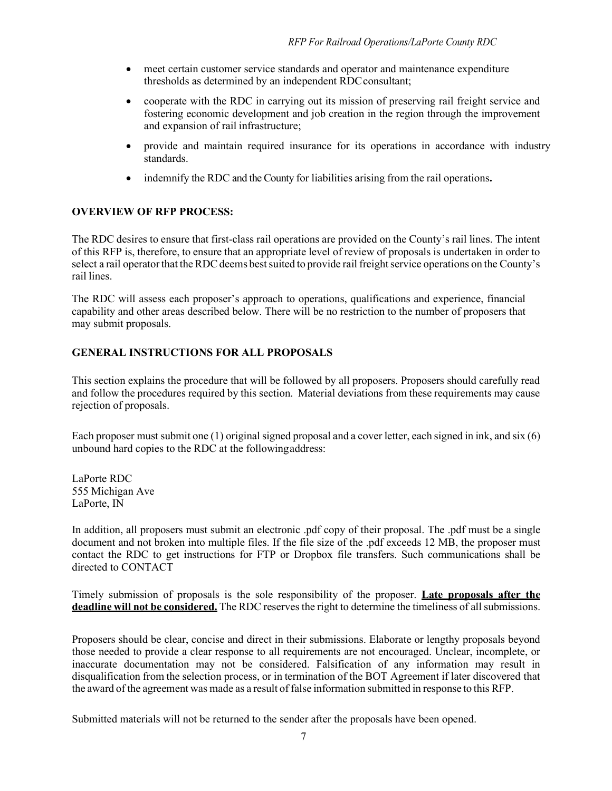- meet certain customer service standards and operator and maintenance expenditure thresholds as determined by an independent RDCconsultant;
- cooperate with the RDC in carrying out its mission of preserving rail freight service and fostering economic development and job creation in the region through the improvement and expansion of rail infrastructure;
- provide and maintain required insurance for its operations in accordance with industry standards.
- indemnify the RDC and the County for liabilities arising from the rail operations**.**

## <span id="page-6-0"></span>**OVERVIEW OF RFP PROCESS:**

The RDC desires to ensure that first-class rail operations are provided on the County's rail lines. The intent of this RFP is, therefore, to ensure that an appropriate level of review of proposals is undertaken in order to select a rail operator that the RDC deems best suited to provide rail freight service operations on the County's rail lines.

The RDC will assess each proposer's approach to operations, qualifications and experience, financial capability and other areas described below. There will be no restriction to the number of proposers that may submit proposals.

## <span id="page-6-1"></span>**GENERAL INSTRUCTIONS FOR ALL PROPOSALS**

This section explains the procedure that will be followed by all proposers. Proposers should carefully read and follow the procedures required by this section. Material deviations from these requirements may cause rejection of proposals.

Each proposer must submit one (1) original signed proposal and a cover letter, each signed in ink, and six (6) unbound hard copies to the RDC at the followingaddress:

LaPorte RDC 555 Michigan Ave LaPorte, IN

In addition, all proposers must submit an electronic .pdf copy of their proposal. The .pdf must be a single document and not broken into multiple files. If the file size of the .pdf exceeds 12 MB, the proposer must contact the RDC to get instructions for FTP or Dropbox file transfers. Such communications shall be directed to CONTACT

Timely submission of proposals is the sole responsibility of the proposer. **Late proposals after the deadline will not be considered.** The RDC reserves the right to determine the timeliness of all submissions.

Proposers should be clear, concise and direct in their submissions. Elaborate or lengthy proposals beyond those needed to provide a clear response to all requirements are not encouraged. Unclear, incomplete, or inaccurate documentation may not be considered. Falsification of any information may result in disqualification from the selection process, or in termination of the BOT Agreement if later discovered that the award of the agreement was made as a result of false information submitted in response to this RFP.

Submitted materials will not be returned to the sender after the proposals have been opened.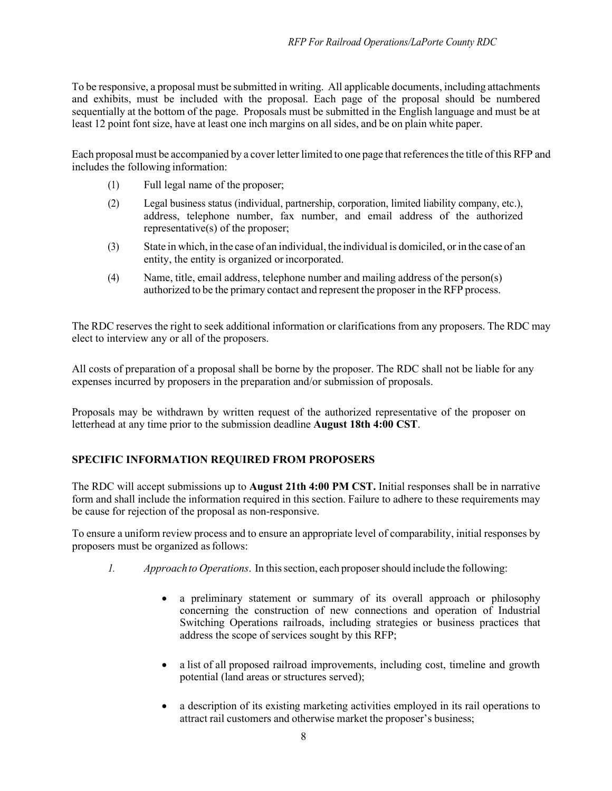To be responsive, a proposal must be submitted in writing. All applicable documents, including attachments and exhibits, must be included with the proposal. Each page of the proposal should be numbered sequentially at the bottom of the page. Proposals must be submitted in the English language and must be at least 12 point font size, have at least one inch margins on all sides, and be on plain white paper.

Each proposal must be accompanied by a coverletter limited to one page that referencesthe title of this RFP and includes the following information:

- (1) Full legal name of the proposer;
- (2) Legal business status (individual, partnership, corporation, limited liability company, etc.), address, telephone number, fax number, and email address of the authorized representative(s) of the proposer;
- (3) State in which, in the case of an individual, the individual is domiciled, or in the case of an entity, the entity is organized or incorporated.
- (4) Name, title, email address, telephone number and mailing address of the person(s) authorized to be the primary contact and represent the proposer in the RFP process.

The RDC reserves the right to seek additional information or clarifications from any proposers. The RDC may elect to interview any or all of the proposers.

All costs of preparation of a proposal shall be borne by the proposer. The RDC shall not be liable for any expenses incurred by proposers in the preparation and/or submission of proposals.

Proposals may be withdrawn by written request of the authorized representative of the proposer on letterhead at any time prior to the submission deadline **August 18th 4:00 CST**.

# <span id="page-7-0"></span>**SPECIFIC INFORMATION REQUIRED FROM PROPOSERS**

The RDC will accept submissions up to **August 21th 4:00 PM CST.** Initial responses shall be in narrative form and shall include the information required in this section. Failure to adhere to these requirements may be cause for rejection of the proposal as non-responsive.

To ensure a uniform review process and to ensure an appropriate level of comparability, initial responses by proposers must be organized asfollows:

- *1. Approach to Operations*. In thissection, each proposershould include the following:
	- a preliminary statement or summary of its overall approach or philosophy concerning the construction of new connections and operation of Industrial Switching Operations railroads, including strategies or business practices that address the scope of services sought by this RFP;
	- a list of all proposed railroad improvements, including cost, timeline and growth potential (land areas or structures served);
	- a description of its existing marketing activities employed in its rail operations to attract rail customers and otherwise market the proposer's business;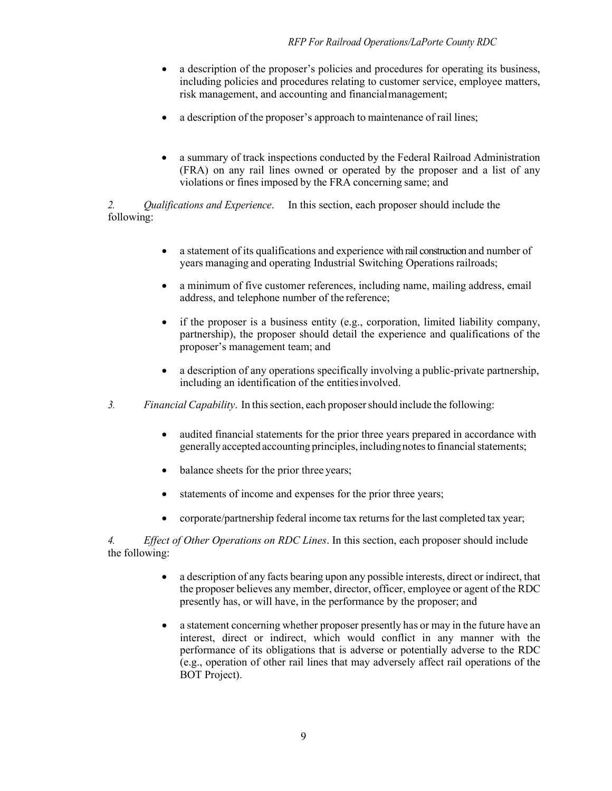- a description of the proposer's policies and procedures for operating its business, including policies and procedures relating to customer service, employee matters, risk management, and accounting and financialmanagement;
- a description of the proposer's approach to maintenance of rail lines;
- a summary of track inspections conducted by the Federal Railroad Administration (FRA) on any rail lines owned or operated by the proposer and a list of any violations or fines imposed by the FRA concerning same; and

*2. Qualifications and Experience*. In this section, each proposer should include the following:

- a statement of its qualifications and experience with rail construction and number of years managing and operating Industrial Switching Operations railroads;
- a minimum of five customer references, including name, mailing address, email address, and telephone number of the reference;
- if the proposer is a business entity (e.g., corporation, limited liability company, partnership), the proposer should detail the experience and qualifications of the proposer's management team; and
- a description of any operations specifically involving a public-private partnership, including an identification of the entitiesinvolved.
- *3. Financial Capability*. In thissection, each proposershould include the following:
	- audited financial statements for the prior three years prepared in accordance with generally accepted accounting principles, including notes to financial statements;
	- balance sheets for the prior three years;
	- statements of income and expenses for the prior three years;
	- corporate/partnership federal income tax returnsfor the last completed tax year;

*4. Effect of Other Operations on RDC Lines*. In this section, each proposer should include the following:

- a description of any facts bearing upon any possible interests, direct or indirect, that the proposer believes any member, director, officer, employee or agent of the RDC presently has, or will have, in the performance by the proposer; and
- a statement concerning whether proposer presently has or may in the future have an interest, direct or indirect, which would conflict in any manner with the performance of its obligations that is adverse or potentially adverse to the RDC (e.g., operation of other rail lines that may adversely affect rail operations of the BOT Project).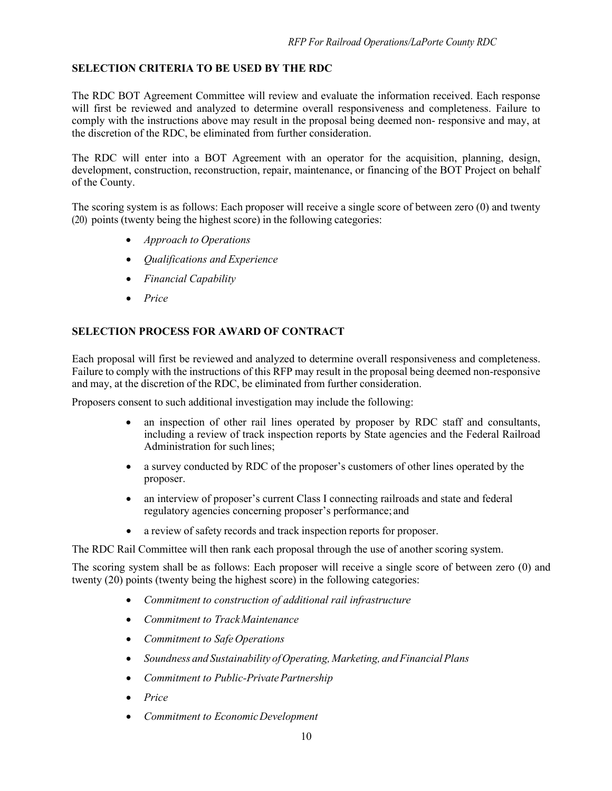# <span id="page-9-0"></span>**SELECTION CRITERIA TO BE USED BY THE RDC**

The RDC BOT Agreement Committee will review and evaluate the information received. Each response will first be reviewed and analyzed to determine overall responsiveness and completeness. Failure to comply with the instructions above may result in the proposal being deemed non- responsive and may, at the discretion of the RDC, be eliminated from further consideration.

The RDC will enter into a BOT Agreement with an operator for the acquisition, planning, design, development, construction, reconstruction, repair, maintenance, or financing of the BOT Project on behalf of the County.

The scoring system is as follows: Each proposer will receive a single score of between zero (0) and twenty (20) points (twenty being the highest score) in the following categories:

- *Approach to Operations*
- *Qualifications and Experience*
- *Financial Capability*
- *Price*

## <span id="page-9-1"></span>**SELECTION PROCESS FOR AWARD OF CONTRACT**

Each proposal will first be reviewed and analyzed to determine overall responsiveness and completeness. Failure to comply with the instructions of this RFP may result in the proposal being deemed non-responsive and may, at the discretion of the RDC, be eliminated from further consideration.

Proposers consent to such additional investigation may include the following:

- an inspection of other rail lines operated by proposer by RDC staff and consultants, including a review of track inspection reports by State agencies and the Federal Railroad Administration for such lines;
- a survey conducted by RDC of the proposer's customers of other lines operated by the proposer.
- an interview of proposer's current Class I connecting railroads and state and federal regulatory agencies concerning proposer's performance; and
- a review of safety records and track inspection reports for proposer.

The RDC Rail Committee will then rank each proposal through the use of another scoring system.

The scoring system shall be as follows: Each proposer will receive a single score of between zero (0) and twenty (20) points (twenty being the highest score) in the following categories:

- *Commitment to construction of additional rail infrastructure*
- *Commitment to TrackMaintenance*
- *Commitment to Safe Operations*
- *Soundness and Sustainability ofOperating, Marketing, andFinancialPlans*
- *Commitment to Public-Private Partnership*
- *Price*
- *Commitment to EconomicDevelopment*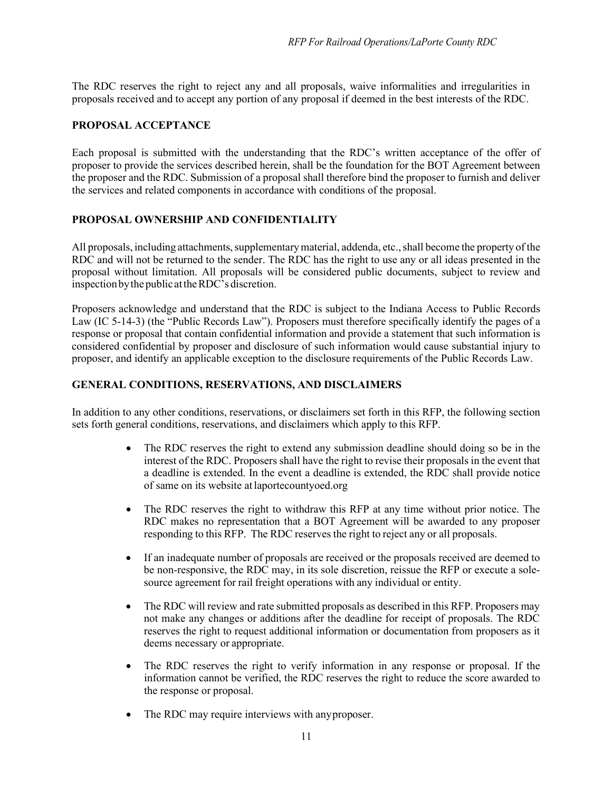The RDC reserves the right to reject any and all proposals, waive informalities and irregularities in proposals received and to accept any portion of any proposal if deemed in the best interests of the RDC.

#### <span id="page-10-0"></span>**PROPOSAL ACCEPTANCE**

Each proposal is submitted with the understanding that the RDC's written acceptance of the offer of proposer to provide the services described herein, shall be the foundation for the BOT Agreement between the proposer and the RDC. Submission of a proposal shall therefore bind the proposer to furnish and deliver the services and related components in accordance with conditions of the proposal.

## <span id="page-10-1"></span>**PROPOSAL OWNERSHIP AND CONFIDENTIALITY**

All proposals, including attachments, supplementary material, addenda, etc., shall become the property of the RDC and will not be returned to the sender. The RDC has the right to use any or all ideas presented in the proposal without limitation. All proposals will be considered public documents, subject to review and inspectionbythe publicattheRDC's discretion.

Proposers acknowledge and understand that the RDC is subject to the Indiana Access to Public Records Law (IC 5-14-3) (the "Public Records Law"). Proposers must therefore specifically identify the pages of a response or proposal that contain confidential information and provide a statement that such information is considered confidential by proposer and disclosure of such information would cause substantial injury to proposer, and identify an applicable exception to the disclosure requirements of the Public Records Law.

#### <span id="page-10-2"></span>**GENERAL CONDITIONS, RESERVATIONS, AND DISCLAIMERS**

In addition to any other conditions, reservations, or disclaimers set forth in this RFP, the following section sets forth general conditions, reservations, and disclaimers which apply to this RFP.

- The RDC reserves the right to extend any submission deadline should doing so be in the interest of the RDC. Proposers shall have the right to revise their proposals in the event that a deadline is extended. In the event a deadline is extended, the RDC shall provide notice of same on its website atlaportecountyoed.org
- The RDC reserves the right to withdraw this RFP at any time without prior notice. The RDC makes no representation that a BOT Agreement will be awarded to any proposer responding to this RFP. The RDC reserves the right to reject any or all proposals.
- If an inadequate number of proposals are received or the proposals received are deemed to be non-responsive, the RDC may, in its sole discretion, reissue the RFP or execute a solesource agreement for rail freight operations with any individual or entity.
- The RDC will review and rate submitted proposals as described in this RFP. Proposers may not make any changes or additions after the deadline for receipt of proposals. The RDC reserves the right to request additional information or documentation from proposers as it deems necessary or appropriate.
- The RDC reserves the right to verify information in any response or proposal. If the information cannot be verified, the RDC reserves the right to reduce the score awarded to the response or proposal.
- The RDC may require interviews with any proposer.